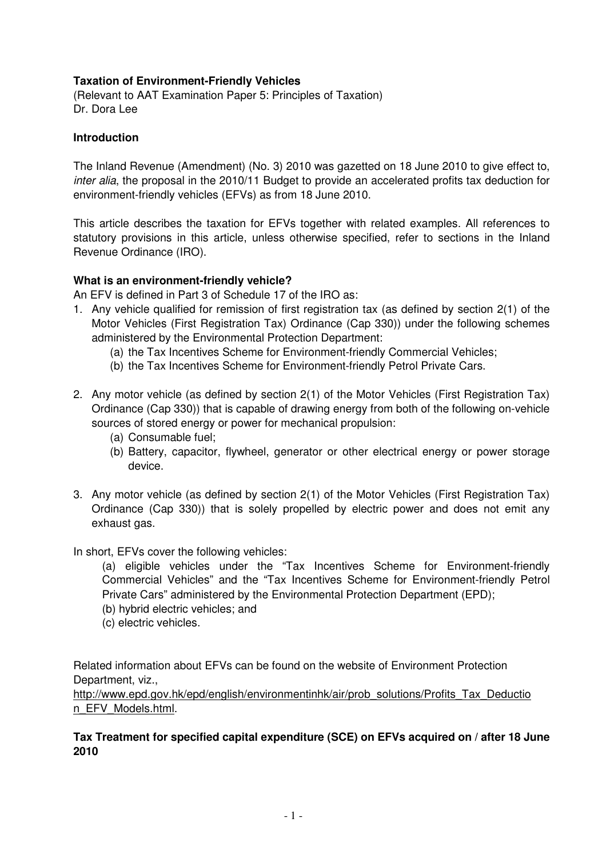## **Taxation of Environment-Friendly Vehicles**

(Relevant to AAT Examination Paper 5: Principles of Taxation) Dr. Dora Lee

#### **Introduction**

The Inland Revenue (Amendment) (No. 3) 2010 was gazetted on 18 June 2010 to give effect to, inter alia, the proposal in the 2010/11 Budget to provide an accelerated profits tax deduction for environment-friendly vehicles (EFVs) as from 18 June 2010.

This article describes the taxation for EFVs together with related examples. All references to statutory provisions in this article, unless otherwise specified, refer to sections in the Inland Revenue Ordinance (IRO).

#### **What is an environment-friendly vehicle?**

An EFV is defined in Part 3 of Schedule 17 of the IRO as:

- 1. Any vehicle qualified for remission of first registration tax (as defined by section 2(1) of the Motor Vehicles (First Registration Tax) Ordinance (Cap 330)) under the following schemes administered by the Environmental Protection Department:
	- (a) the Tax Incentives Scheme for Environment-friendly Commercial Vehicles;
	- (b) the Tax Incentives Scheme for Environment-friendly Petrol Private Cars.
- 2. Any motor vehicle (as defined by section 2(1) of the Motor Vehicles (First Registration Tax) Ordinance (Cap 330)) that is capable of drawing energy from both of the following on-vehicle sources of stored energy or power for mechanical propulsion:
	- (a) Consumable fuel;
	- (b) Battery, capacitor, flywheel, generator or other electrical energy or power storage device.
- 3. Any motor vehicle (as defined by section 2(1) of the Motor Vehicles (First Registration Tax) Ordinance (Cap 330)) that is solely propelled by electric power and does not emit any exhaust gas.

In short, EFVs cover the following vehicles:

 (a) eligible vehicles under the "Tax Incentives Scheme for Environment-friendly Commercial Vehicles" and the "Tax Incentives Scheme for Environment-friendly Petrol Private Cars" administered by the Environmental Protection Department (EPD);

- (b) hybrid electric vehicles; and
- (c) electric vehicles.

Related information about EFVs can be found on the website of Environment Protection Department, viz.,

http://www.epd.gov.hk/epd/english/environmentinhk/air/prob\_solutions/Profits\_Tax\_Deductio n\_EFV\_Models.html.

#### **Tax Treatment for specified capital expenditure (SCE) on EFVs acquired on / after 18 June 2010**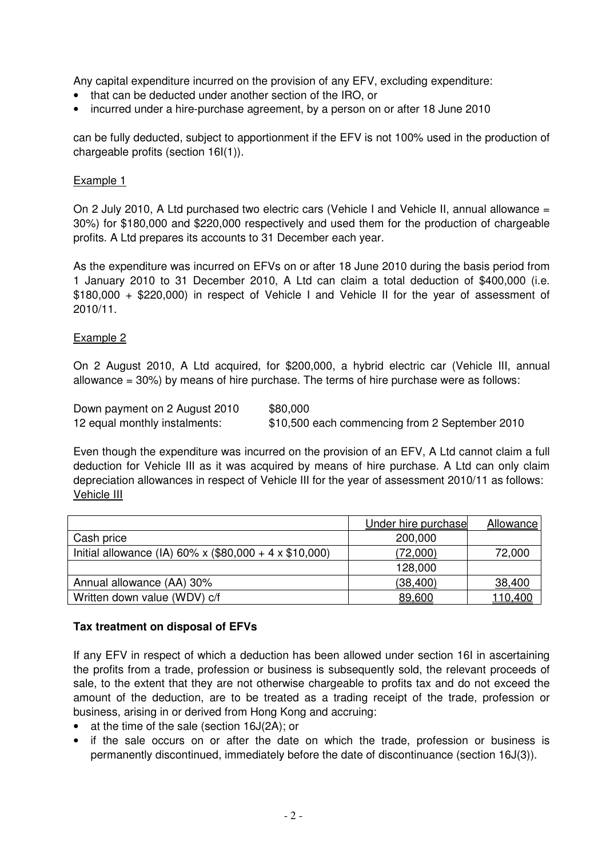Any capital expenditure incurred on the provision of any EFV, excluding expenditure:

- that can be deducted under another section of the IRO, or
- incurred under a hire-purchase agreement, by a person on or after 18 June 2010

can be fully deducted, subject to apportionment if the EFV is not 100% used in the production of chargeable profits (section 16I(1)).

#### Example 1

On 2 July 2010, A Ltd purchased two electric cars (Vehicle I and Vehicle II, annual allowance = 30%) for \$180,000 and \$220,000 respectively and used them for the production of chargeable profits. A Ltd prepares its accounts to 31 December each year.

As the expenditure was incurred on EFVs on or after 18 June 2010 during the basis period from 1 January 2010 to 31 December 2010, A Ltd can claim a total deduction of \$400,000 (i.e. \$180,000 + \$220,000) in respect of Vehicle I and Vehicle II for the year of assessment of 2010/11.

## Example 2

On 2 August 2010, A Ltd acquired, for \$200,000, a hybrid electric car (Vehicle III, annual allowance  $= 30\%$ ) by means of hire purchase. The terms of hire purchase were as follows:

| Down payment on 2 August 2010 | \$80,000                                       |
|-------------------------------|------------------------------------------------|
| 12 equal monthly instalments: | \$10,500 each commencing from 2 September 2010 |

Even though the expenditure was incurred on the provision of an EFV, A Ltd cannot claim a full deduction for Vehicle III as it was acquired by means of hire purchase. A Ltd can only claim depreciation allowances in respect of Vehicle III for the year of assessment 2010/11 as follows: Vehicle III

|                                                        | Under hire purchase | Allowance       |
|--------------------------------------------------------|---------------------|-----------------|
| Cash price                                             | 200,000             |                 |
| Initial allowance (IA) 60% x (\$80,000 + 4 x \$10,000) | (72,000)            | 72,000          |
|                                                        | 128,000             |                 |
| Annual allowance (AA) 30%                              | (38, 400)           | 38,400          |
| Written down value (WDV) c/f                           | 89,600              | <u> 110,400</u> |

#### **Tax treatment on disposal of EFVs**

If any EFV in respect of which a deduction has been allowed under section 16I in ascertaining the profits from a trade, profession or business is subsequently sold, the relevant proceeds of sale, to the extent that they are not otherwise chargeable to profits tax and do not exceed the amount of the deduction, are to be treated as a trading receipt of the trade, profession or business, arising in or derived from Hong Kong and accruing:

- at the time of the sale (section 16J(2A); or
- if the sale occurs on or after the date on which the trade, profession or business is permanently discontinued, immediately before the date of discontinuance (section 16J(3)).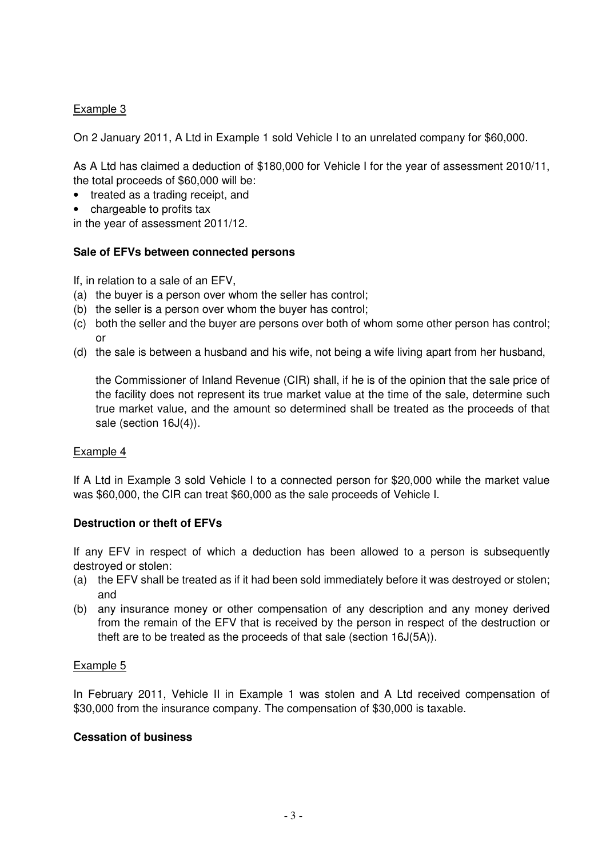# Example 3

On 2 January 2011, A Ltd in Example 1 sold Vehicle I to an unrelated company for \$60,000.

As A Ltd has claimed a deduction of \$180,000 for Vehicle I for the year of assessment 2010/11, the total proceeds of \$60,000 will be:

- treated as a trading receipt, and
- chargeable to profits tax

in the year of assessment 2011/12.

#### **Sale of EFVs between connected persons**

If, in relation to a sale of an EFV,

- (a) the buyer is a person over whom the seller has control;
- (b) the seller is a person over whom the buyer has control;
- (c) both the seller and the buyer are persons over both of whom some other person has control; or
- (d) the sale is between a husband and his wife, not being a wife living apart from her husband,

the Commissioner of Inland Revenue (CIR) shall, if he is of the opinion that the sale price of the facility does not represent its true market value at the time of the sale, determine such true market value, and the amount so determined shall be treated as the proceeds of that sale (section 16J(4)).

#### Example 4

If A Ltd in Example 3 sold Vehicle I to a connected person for \$20,000 while the market value was \$60,000, the CIR can treat \$60,000 as the sale proceeds of Vehicle I.

#### **Destruction or theft of EFVs**

If any EFV in respect of which a deduction has been allowed to a person is subsequently destroyed or stolen:

- (a) the EFV shall be treated as if it had been sold immediately before it was destroyed or stolen; and
- (b) any insurance money or other compensation of any description and any money derived from the remain of the EFV that is received by the person in respect of the destruction or theft are to be treated as the proceeds of that sale (section 16J(5A)).

#### Example 5

In February 2011, Vehicle II in Example 1 was stolen and A Ltd received compensation of \$30,000 from the insurance company. The compensation of \$30,000 is taxable.

### **Cessation of business**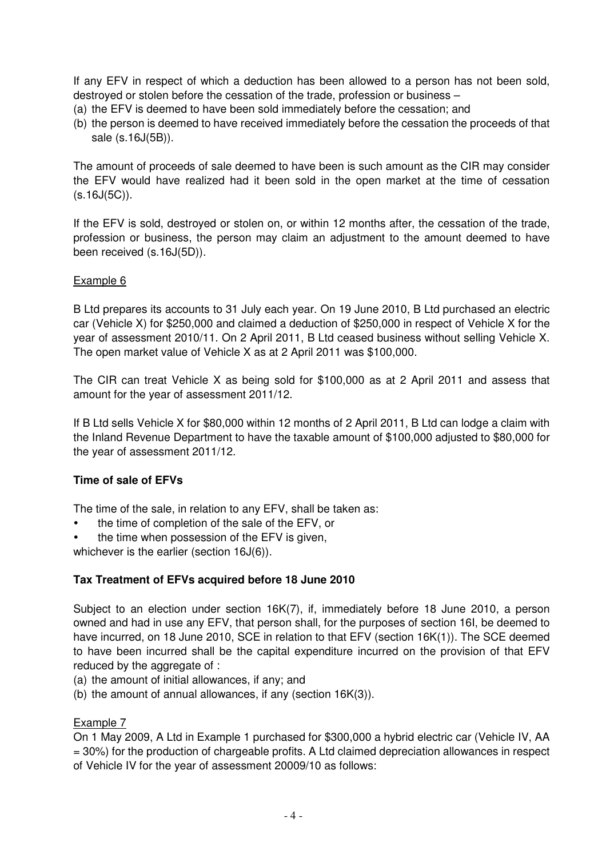If any EFV in respect of which a deduction has been allowed to a person has not been sold, destroyed or stolen before the cessation of the trade, profession or business –

- (a) the EFV is deemed to have been sold immediately before the cessation; and
- (b) the person is deemed to have received immediately before the cessation the proceeds of that sale (s.16J(5B)).

The amount of proceeds of sale deemed to have been is such amount as the CIR may consider the EFV would have realized had it been sold in the open market at the time of cessation  $(s.16J(5C))$ .

If the EFV is sold, destroyed or stolen on, or within 12 months after, the cessation of the trade, profession or business, the person may claim an adjustment to the amount deemed to have been received (s.16J(5D)).

## Example 6

B Ltd prepares its accounts to 31 July each year. On 19 June 2010, B Ltd purchased an electric car (Vehicle X) for \$250,000 and claimed a deduction of \$250,000 in respect of Vehicle X for the year of assessment 2010/11. On 2 April 2011, B Ltd ceased business without selling Vehicle X. The open market value of Vehicle X as at 2 April 2011 was \$100,000.

The CIR can treat Vehicle X as being sold for \$100,000 as at 2 April 2011 and assess that amount for the year of assessment 2011/12.

If B Ltd sells Vehicle X for \$80,000 within 12 months of 2 April 2011, B Ltd can lodge a claim with the Inland Revenue Department to have the taxable amount of \$100,000 adjusted to \$80,000 for the year of assessment 2011/12.

# **Time of sale of EFVs**

The time of the sale, in relation to any EFV, shall be taken as:

- the time of completion of the sale of the EFV, or
- the time when possession of the EFV is given,

whichever is the earlier (section 16J(6)).

# **Tax Treatment of EFVs acquired before 18 June 2010**

Subject to an election under section 16K(7), if, immediately before 18 June 2010, a person owned and had in use any EFV, that person shall, for the purposes of section 16I, be deemed to have incurred, on 18 June 2010, SCE in relation to that EFV (section 16K(1)). The SCE deemed to have been incurred shall be the capital expenditure incurred on the provision of that EFV reduced by the aggregate of :

- (a) the amount of initial allowances, if any; and
- (b) the amount of annual allowances, if any (section 16K(3)).

#### Example 7

On 1 May 2009, A Ltd in Example 1 purchased for \$300,000 a hybrid electric car (Vehicle IV, AA = 30%) for the production of chargeable profits. A Ltd claimed depreciation allowances in respect of Vehicle IV for the year of assessment 20009/10 as follows: